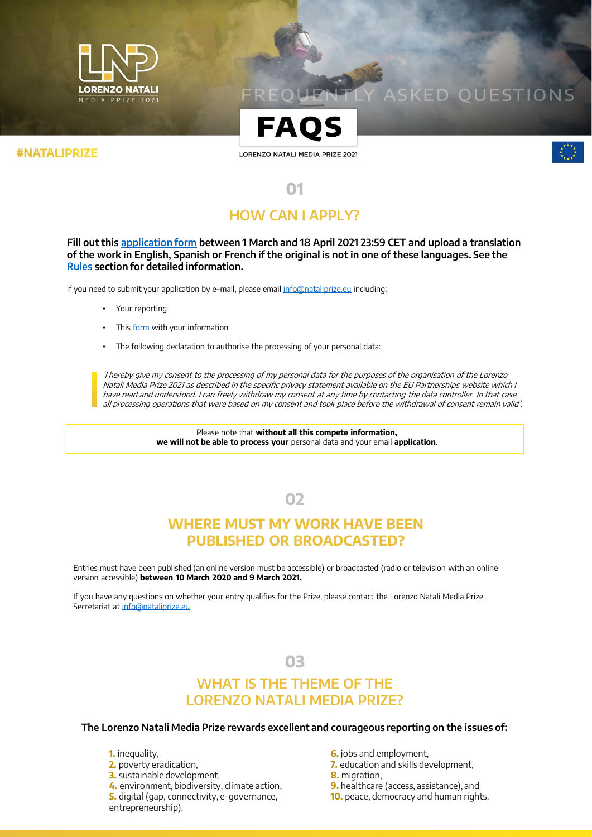

# **SKED OUESTIONS**



#### **#NATALIPRIZE**

LORENZO NATALI MEDIA PRIZE 2021



# **01 HOW CAN I APPLY?**

**Fill out this [application form](https://form.jotform.com/210472443345349) between 1 March and 18 April 2021 23:59 CET and upload a translation of the work in English, Spanish or French if the original is not in one of these languages. See the [Rules](https://ec.europa.eu/international-partnerships/system/files/lnp2021_rules_en.pdf) section for detailed information.** 

If you need to submit your application by e–mail, please email [info@nataliprize.eu](mailto:info@nataliprize.eu) including:

- Your reporting
- This [form](https://fileshare-emea.bm.com/dl/FUa9bljnWn/?) with your information
- The following declaration to authorise the processing of your personal data:

'I hereby give my consent to the processing of my personal data for the purposes of the organisation of the Lorenzo Natali Media Prize 2021 as described in the specific privacy statement available on the EU Partnerships website which I have read and understood. I can freely withdraw my consent at any time by contacting the data controller. In that case, all processing operations that were based on my consent and took place before the withdrawal of consent remain valid'.

> Please note that **without all this compete information, we will not be able to process your** personal data and your email **application**.

> > **02**

# **WHERE MUST MY WORK HAVE BEEN PUBLISHED OR BROADCASTED?**

Entries must have been published (an online version must be accessible) or broadcasted (radio or television with an online version accessible) **between 10 March 2020 and 9 March 2021.**

If you have any questions on whether your entry qualifies for the Prize, please contact the Lorenzo Natali Media Prize Secretariat at [info@nataliprize.eu](mailto:info@nataliprize.eu).

### **03**

# **WHAT IS THE THEME OF THE LORENZO NATALI MEDIA PRIZE?**

#### **The Lorenzo Natali Media Prize rewards excellent and courageous reporting on the issues of:**

**1.** inequality,

- **2.** poverty eradication,
- **3.** sustainable development,
- **4.** environment, biodiversity, climate action,

**5.** digital (gap, connectivity, e-governance, entrepreneurship),

- **6.** jobs and employment,
- **7.** education and skills development,
- **8.** migration,
- **9.** healthcare (access, assistance), and
- **10.** peace, democracy and human rights.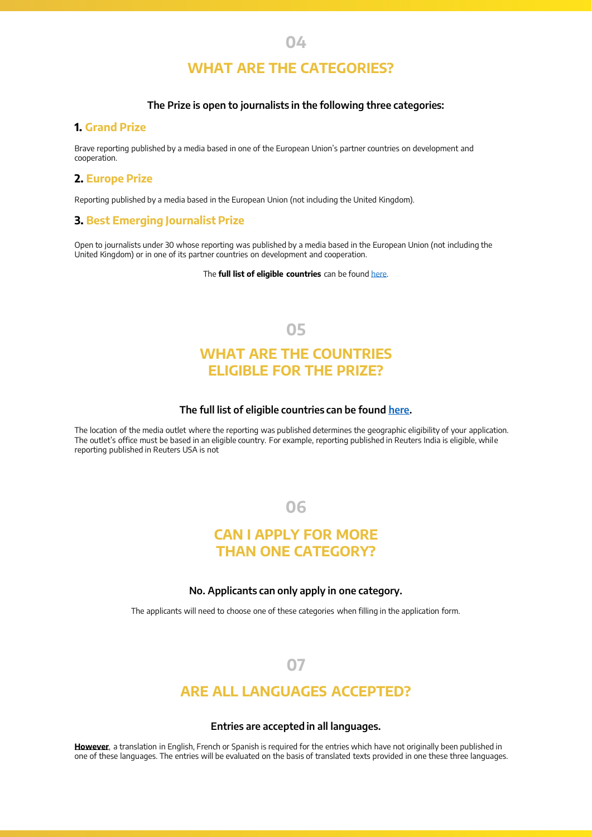### **04**

# **WHAT ARE THE CATEGORIES?**

#### **The Prize is open to journalists in the following three categories:**

### **1. Grand Prize**

Brave reporting published by a media based in one of the European Union's partner countries on development and cooperation.

#### **2. Europe Prize**

Reporting published by a media based in the European Union (not including the United Kingdom).

#### **3. Best Emerging Journalist Prize**

Open to journalists under 30 whose reporting was published by a media based in the European Union (not including the United Kingdom) or in one of its partner countries on development and cooperation.

The **full list of eligible countries** can be found [here](https://ec.europa.eu/international-partnerships/system/files/nataliprize2021_countries.pdf).

**05**

### **WHAT ARE THE COUNTRIES ELIGIBLE FOR THE PRIZE?**

#### **The full list of eligible countries can be found [here.](https://ec.europa.eu/international-partnerships/system/files/nataliprize2021_countries.pdf)**

The location of the media outlet where the reporting was published determines the geographic eligibility of your application. The outlet's office must be based in an eligible country. For example, reporting published in Reuters India is eligible, while reporting published in Reuters USA is not

**06**

### **CAN I APPLY FOR MORE THAN ONE CATEGORY?**

#### **No. Applicants can only apply in one category.**

The applicants will need to choose one of these categories when filling in the application form.

### **07**

### **ARE ALL LANGUAGES ACCEPTED?**

#### **Entries are accepted in all languages.**

**However**, a translation in English, French or Spanish is required for the entries which have not originally been published in one of these languages. The entries will be evaluated on the basis of translated texts provided in one these three languages.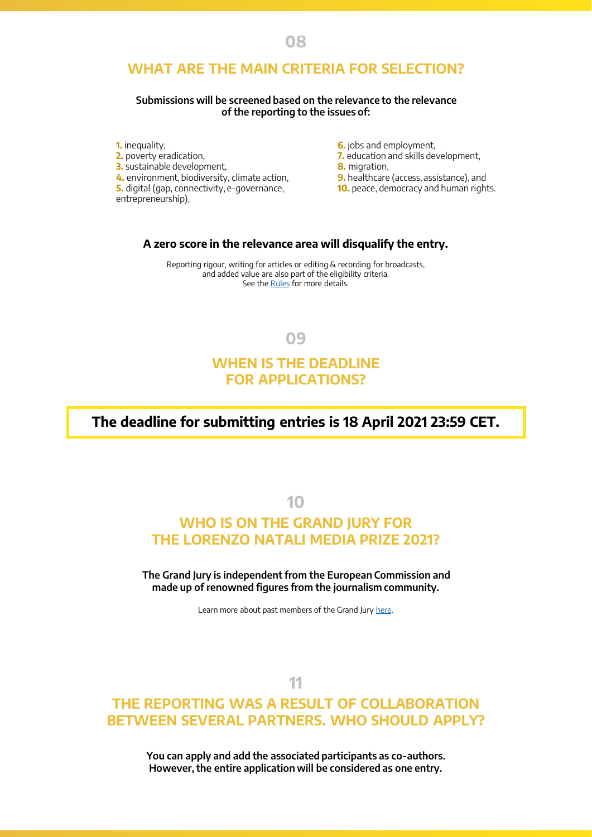### **WHAT ARE THE MAIN CRITERIA FOR SELECTION?**

#### **Submissions will be screened based on the relevance to the relevance of the reporting to the issues of:**

**1.** inequality, **2.** poverty eradication, **3.** sustainable development, **4.** environment, biodiversity, climate action, **5.** digital (gap, connectivity, e-governance, entrepreneurship),

- **6.** jobs and employment.
- **7.** education and skills development,
- **8.** migration,
- **9.** healthcare (access, assistance), and
- **10.** peace, democracy and human rights.

### **A zero score in the relevance area will disqualify the entry.**

Reporting rigour, writing for articles or editing & recording for broadcasts, and added value are also part of the eligibility criteria. See the [Rules](https://ec.europa.eu/international-partnerships/system/files/lnp2021_rules_en.pdf) for more details.

**09**

### **WHEN IS THE DEADLINE FOR APPLICATIONS?**

**The deadline for submitting entries is 18 April 2021 23:59 CET.**

**10**

### **WHO IS ON THE GRAND JURY FOR THE LORENZO NATALI MEDIA PRIZE 2021?**

**The Grand Jury is independent from the European Commission and made up of renowned figures from the journalism community.** 

Learn more about past members of the Grand Jury [here.](https://ec.europa.eu/international-partnerships/lnp/NataliPrizeCommunity_en)

### **11**

### **THE REPORTING WAS A RESULT OF COLLABORATION BETWEEN SEVERAL PARTNERS. WHO SHOULD APPLY?**

**You can apply and add the associated participants as co-authors. However, the entire application will be considered as one entry.**